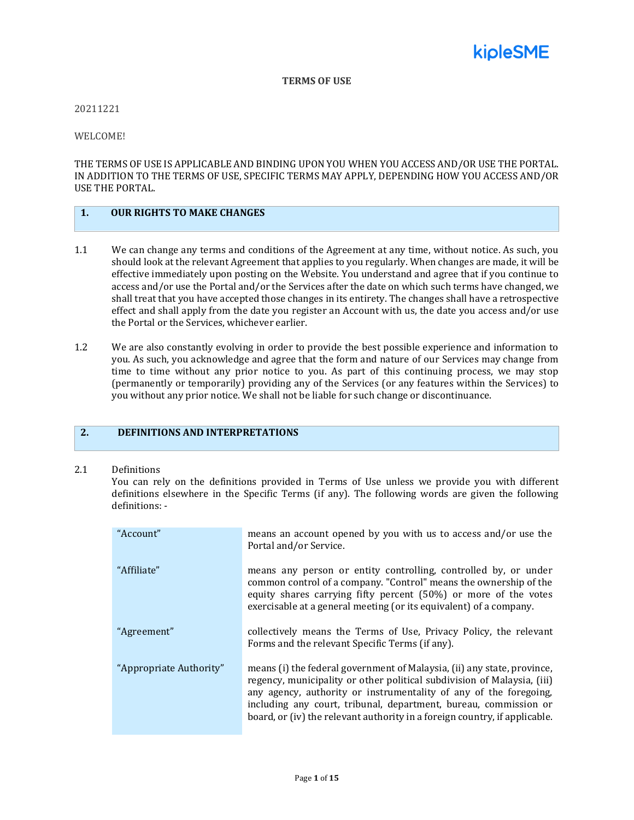

#### **TERMS OF USE**

20211221

WELCOME!

THE TERMS OF USE IS APPLICABLE AND BINDING UPON YOU WHEN YOU ACCESS AND/OR USE THE PORTAL. IN ADDITION TO THE TERMS OF USE, SPECIFIC TERMS MAY APPLY, DEPENDING HOW YOU ACCESS AND/OR USE THE PORTAL.

#### **1. OUR RIGHTS TO MAKE CHANGES**

- 1.1 We can change any terms and conditions of the Agreement at any time, without notice. As such, you should look at the relevant Agreement that applies to you regularly. When changes are made, it will be effective immediately upon posting on the Website. You understand and agree that if you continue to access and/or use the Portal and/or the Services after the date on which such terms have changed, we shall treat that you have accepted those changes in its entirety. The changes shall have a retrospective effect and shall apply from the date you register an Account with us, the date you access and/or use the Portal or the Services, whichever earlier.
- 1.2 We are also constantly evolving in order to provide the best possible experience and information to you. As such, you acknowledge and agree that the form and nature of our Services may change from time to time without any prior notice to you. As part of this continuing process, we may stop (permanently or temporarily) providing any of the Services (or any features within the Services) to you without any prior notice. We shall not be liable for such change or discontinuance.

## **2. DEFINITIONS AND INTERPRETATIONS**

#### 2.1 Definitions

You can rely on the definitions provided in Terms of Use unless we provide you with different definitions elsewhere in the Specific Terms (if any). The following words are given the following definitions: -

| "Account"               | means an account opened by you with us to access and/or use the<br>Portal and/or Service.                                                                                                                                                                                                                                                                                 |
|-------------------------|---------------------------------------------------------------------------------------------------------------------------------------------------------------------------------------------------------------------------------------------------------------------------------------------------------------------------------------------------------------------------|
| "Affiliate"             | means any person or entity controlling, controlled by, or under<br>common control of a company. "Control" means the ownership of the<br>equity shares carrying fifty percent (50%) or more of the votes<br>exercisable at a general meeting (or its equivalent) of a company.                                                                                             |
| "Agreement"             | collectively means the Terms of Use, Privacy Policy, the relevant<br>Forms and the relevant Specific Terms (if any).                                                                                                                                                                                                                                                      |
| "Appropriate Authority" | means (i) the federal government of Malaysia, (ii) any state, province,<br>regency, municipality or other political subdivision of Malaysia, (iii)<br>any agency, authority or instrumentality of any of the foregoing,<br>including any court, tribunal, department, bureau, commission or<br>board, or (iv) the relevant authority in a foreign country, if applicable. |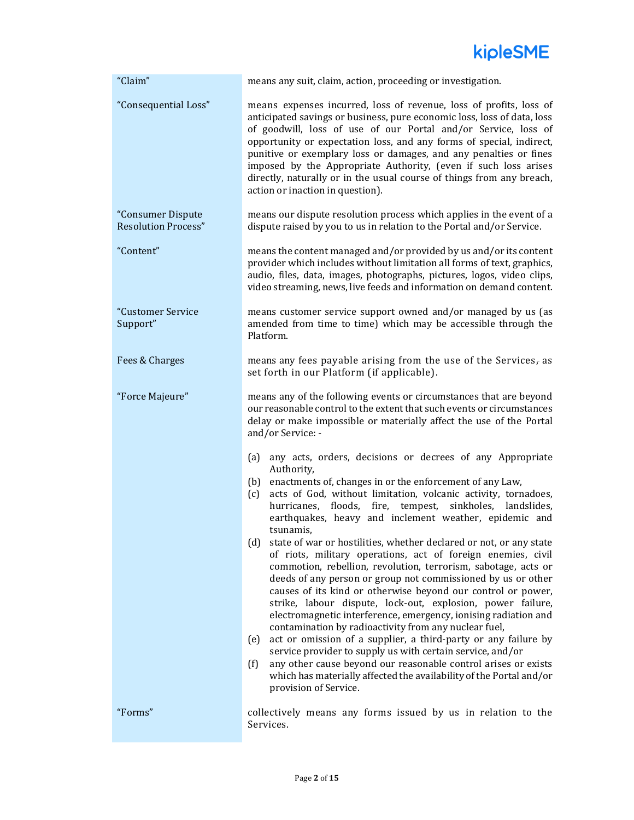

| "Claim"                                         | means any suit, claim, action, proceeding or investigation.                                                                                                                                                                                                                                                                                                                                                                                                                                                                                                                                                                                                                                                                                                                                                                                                                                                                                                                                                                                                                                                                                                                                                              |
|-------------------------------------------------|--------------------------------------------------------------------------------------------------------------------------------------------------------------------------------------------------------------------------------------------------------------------------------------------------------------------------------------------------------------------------------------------------------------------------------------------------------------------------------------------------------------------------------------------------------------------------------------------------------------------------------------------------------------------------------------------------------------------------------------------------------------------------------------------------------------------------------------------------------------------------------------------------------------------------------------------------------------------------------------------------------------------------------------------------------------------------------------------------------------------------------------------------------------------------------------------------------------------------|
| "Consequential Loss"                            | means expenses incurred, loss of revenue, loss of profits, loss of<br>anticipated savings or business, pure economic loss, loss of data, loss<br>of goodwill, loss of use of our Portal and/or Service, loss of<br>opportunity or expectation loss, and any forms of special, indirect,<br>punitive or exemplary loss or damages, and any penalties or fines<br>imposed by the Appropriate Authority, (even if such loss arises<br>directly, naturally or in the usual course of things from any breach,<br>action or inaction in question).                                                                                                                                                                                                                                                                                                                                                                                                                                                                                                                                                                                                                                                                             |
| "Consumer Dispute<br><b>Resolution Process"</b> | means our dispute resolution process which applies in the event of a<br>dispute raised by you to us in relation to the Portal and/or Service.                                                                                                                                                                                                                                                                                                                                                                                                                                                                                                                                                                                                                                                                                                                                                                                                                                                                                                                                                                                                                                                                            |
| "Content"                                       | means the content managed and/or provided by us and/or its content<br>provider which includes without limitation all forms of text, graphics,<br>audio, files, data, images, photographs, pictures, logos, video clips,<br>video streaming, news, live feeds and information on demand content.                                                                                                                                                                                                                                                                                                                                                                                                                                                                                                                                                                                                                                                                                                                                                                                                                                                                                                                          |
| "Customer Service<br>Support"                   | means customer service support owned and/or managed by us (as<br>amended from time to time) which may be accessible through the<br>Platform.                                                                                                                                                                                                                                                                                                                                                                                                                                                                                                                                                                                                                                                                                                                                                                                                                                                                                                                                                                                                                                                                             |
| Fees & Charges                                  | means any fees payable arising from the use of the Services, as<br>set forth in our Platform (if applicable).                                                                                                                                                                                                                                                                                                                                                                                                                                                                                                                                                                                                                                                                                                                                                                                                                                                                                                                                                                                                                                                                                                            |
| "Force Majeure"                                 | means any of the following events or circumstances that are beyond<br>our reasonable control to the extent that such events or circumstances<br>delay or make impossible or materially affect the use of the Portal<br>and/or Service: -                                                                                                                                                                                                                                                                                                                                                                                                                                                                                                                                                                                                                                                                                                                                                                                                                                                                                                                                                                                 |
|                                                 | any acts, orders, decisions or decrees of any Appropriate<br>(a)<br>Authority,<br>enactments of, changes in or the enforcement of any Law,<br>(b)<br>acts of God, without limitation, volcanic activity, tornadoes,<br>(c)<br>hurricanes, floods, fire, tempest, sinkholes, landslides,<br>earthquakes, heavy and inclement weather, epidemic and<br>tsunamis,<br>state of war or hostilities, whether declared or not, or any state<br>(d)<br>of riots, military operations, act of foreign enemies, civil<br>commotion, rebellion, revolution, terrorism, sabotage, acts or<br>deeds of any person or group not commissioned by us or other<br>causes of its kind or otherwise beyond our control or power,<br>strike, labour dispute, lock-out, explosion, power failure,<br>electromagnetic interference, emergency, ionising radiation and<br>contamination by radioactivity from any nuclear fuel,<br>act or omission of a supplier, a third-party or any failure by<br>(e)<br>service provider to supply us with certain service, and/or<br>any other cause beyond our reasonable control arises or exists<br>(f)<br>which has materially affected the availability of the Portal and/or<br>provision of Service. |
| "Forms"                                         | collectively means any forms issued by us in relation to the<br>Services.                                                                                                                                                                                                                                                                                                                                                                                                                                                                                                                                                                                                                                                                                                                                                                                                                                                                                                                                                                                                                                                                                                                                                |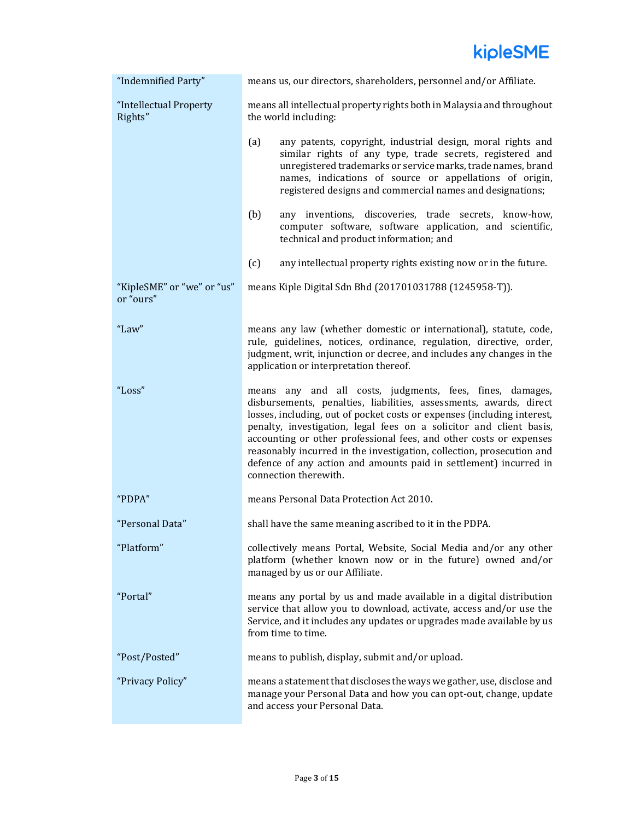

| "Indemnified Party"                     | means us, our directors, shareholders, personnel and/or Affiliate.                                                                                                                                                                                                                                                                                                                                                                                                                                                             |
|-----------------------------------------|--------------------------------------------------------------------------------------------------------------------------------------------------------------------------------------------------------------------------------------------------------------------------------------------------------------------------------------------------------------------------------------------------------------------------------------------------------------------------------------------------------------------------------|
| "Intellectual Property<br>Rights"       | means all intellectual property rights both in Malaysia and throughout<br>the world including:                                                                                                                                                                                                                                                                                                                                                                                                                                 |
|                                         | (a)<br>any patents, copyright, industrial design, moral rights and<br>similar rights of any type, trade secrets, registered and<br>unregistered trademarks or service marks, trade names, brand<br>names, indications of source or appellations of origin,<br>registered designs and commercial names and designations;                                                                                                                                                                                                        |
|                                         | (b)<br>any inventions, discoveries, trade secrets, know-how,<br>computer software, software application, and scientific,<br>technical and product information; and                                                                                                                                                                                                                                                                                                                                                             |
|                                         | (c)<br>any intellectual property rights existing now or in the future.                                                                                                                                                                                                                                                                                                                                                                                                                                                         |
| "KipleSME" or "we" or "us"<br>or "ours" | means Kiple Digital Sdn Bhd (201701031788 (1245958-T)).                                                                                                                                                                                                                                                                                                                                                                                                                                                                        |
| "Law"                                   | means any law (whether domestic or international), statute, code,<br>rule, guidelines, notices, ordinance, regulation, directive, order,<br>judgment, writ, injunction or decree, and includes any changes in the<br>application or interpretation thereof.                                                                                                                                                                                                                                                                    |
| "Loss"                                  | means any and all costs, judgments, fees, fines, damages,<br>disbursements, penalties, liabilities, assessments, awards, direct<br>losses, including, out of pocket costs or expenses (including interest,<br>penalty, investigation, legal fees on a solicitor and client basis,<br>accounting or other professional fees, and other costs or expenses<br>reasonably incurred in the investigation, collection, prosecution and<br>defence of any action and amounts paid in settlement) incurred in<br>connection therewith. |
| "PDPA"                                  | means Personal Data Protection Act 2010.                                                                                                                                                                                                                                                                                                                                                                                                                                                                                       |
| "Personal Data"                         | shall have the same meaning ascribed to it in the PDPA.                                                                                                                                                                                                                                                                                                                                                                                                                                                                        |
| "Platform"                              | collectively means Portal, Website, Social Media and/or any other<br>platform (whether known now or in the future) owned and/or<br>managed by us or our Affiliate.                                                                                                                                                                                                                                                                                                                                                             |
| "Portal"                                | means any portal by us and made available in a digital distribution<br>service that allow you to download, activate, access and/or use the<br>Service, and it includes any updates or upgrades made available by us<br>from time to time.                                                                                                                                                                                                                                                                                      |
| "Post/Posted"                           | means to publish, display, submit and/or upload.                                                                                                                                                                                                                                                                                                                                                                                                                                                                               |
| "Privacy Policy"                        | means a statement that discloses the ways we gather, use, disclose and<br>manage your Personal Data and how you can opt-out, change, update<br>and access your Personal Data.                                                                                                                                                                                                                                                                                                                                                  |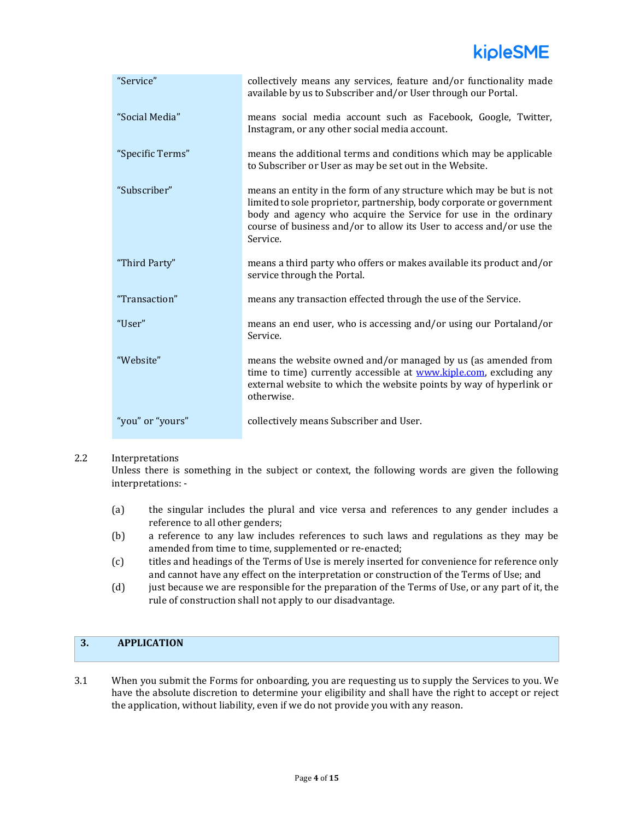# kipleSME

| "Service"        | collectively means any services, feature and/or functionality made<br>available by us to Subscriber and/or User through our Portal.                                                                                                                                                                  |
|------------------|------------------------------------------------------------------------------------------------------------------------------------------------------------------------------------------------------------------------------------------------------------------------------------------------------|
| "Social Media"   | means social media account such as Facebook, Google, Twitter,<br>Instagram, or any other social media account.                                                                                                                                                                                       |
| "Specific Terms" | means the additional terms and conditions which may be applicable<br>to Subscriber or User as may be set out in the Website.                                                                                                                                                                         |
| "Subscriber"     | means an entity in the form of any structure which may be but is not<br>limited to sole proprietor, partnership, body corporate or government<br>body and agency who acquire the Service for use in the ordinary<br>course of business and/or to allow its User to access and/or use the<br>Service. |
| "Third Party"    | means a third party who offers or makes available its product and/or<br>service through the Portal.                                                                                                                                                                                                  |
| "Transaction"    | means any transaction effected through the use of the Service.                                                                                                                                                                                                                                       |
| "User"           | means an end user, who is accessing and/or using our Portaland/or<br>Service.                                                                                                                                                                                                                        |
| "Website"        | means the website owned and/or managed by us (as amended from<br>time to time) currently accessible at www.kiple.com, excluding any<br>external website to which the website points by way of hyperlink or<br>otherwise.                                                                             |
| "you" or "yours" | collectively means Subscriber and User.                                                                                                                                                                                                                                                              |

#### 2.2 Interpretations

Unless there is something in the subject or context, the following words are given the following interpretations: -

- (a) the singular includes the plural and vice versa and references to any gender includes a reference to all other genders;
- (b) a reference to any law includes references to such laws and regulations as they may be amended from time to time, supplemented or re-enacted;
- (c) titles and headings of the Terms of Use is merely inserted for convenience for reference only and cannot have any effect on the interpretation or construction of the Terms of Use; and
- (d) just because we are responsible for the preparation of the Terms of Use, or any part of it, the rule of construction shall not apply to our disadvantage.

## **3. APPLICATION**

3.1 When you submit the Forms for onboarding, you are requesting us to supply the Services to you. We have the absolute discretion to determine your eligibility and shall have the right to accept or reject the application, without liability, even if we do not provide you with any reason.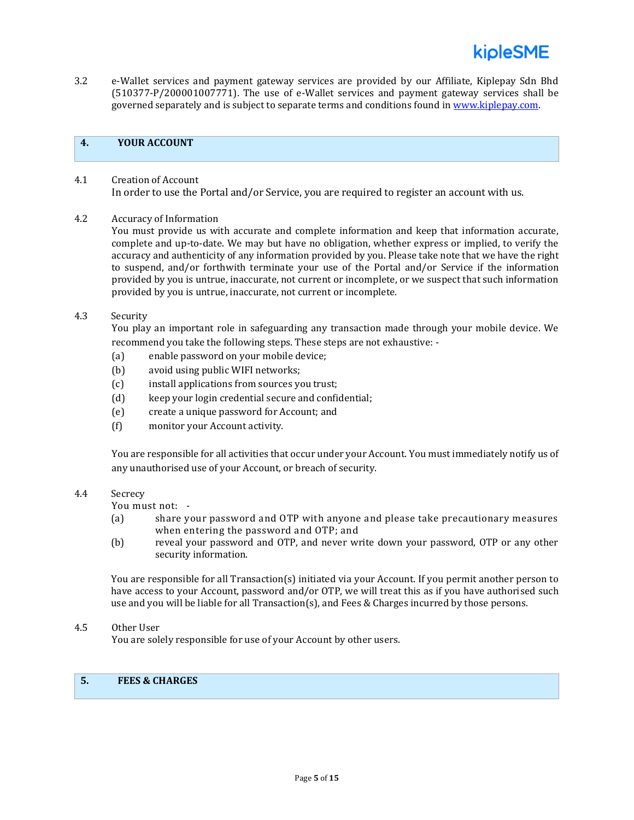

3.2 e-Wallet services and payment gateway services are provided by our Affiliate, Kiplepay Sdn Bhd (510377-P/200001007771). The use of e-Wallet services and payment gateway services shall be governed separately and is subject to separate terms and conditions found in [www.kiplepay.com.](http://www.kiplepay.com/)

## **4. YOUR ACCOUNT**

- 4.1 Creation of Account In order to use the Portal and/or Service, you are required to register an account with us.
- 4.2 Accuracy of Information

You must provide us with accurate and complete information and keep that information accurate, complete and up-to-date. We may but have no obligation, whether express or implied, to verify the accuracy and authenticity of any information provided by you. Please take note that we have the right to suspend, and/or forthwith terminate your use of the Portal and/or Service if the information provided by you is untrue, inaccurate, not current or incomplete, or we suspect that such information provided by you is untrue, inaccurate, not current or incomplete.

4.3 Security

You play an important role in safeguarding any transaction made through your mobile device. We recommend you take the following steps. These steps are not exhaustive: -

- (a) enable password on your mobile device;
- (b) avoid using public WIFI networks;
- (c) install applications from sources you trust;
- (d) keep your login credential secure and confidential;
- (e) create a unique password for Account; and
- (f) monitor your Account activity.

You are responsible for all activities that occur under your Account. You must immediately notify us of any unauthorised use of your Account, or breach of security.

#### 4.4 Secrecy

You must not: -

- (a) share your password and OTP with anyone and please take precautionary measures when entering the password and OTP; and
- (b) reveal your password and OTP, and never write down your password, OTP or any other security information.

You are responsible for all Transaction(s) initiated via your Account. If you permit another person to have access to your Account, password and/or OTP, we will treat this as if you have authorised such use and you will be liable for all Transaction(s), and Fees & Charges incurred by those persons.

4.5 Other User

You are solely responsible for use of your Account by other users.

## **5. FEES & CHARGES**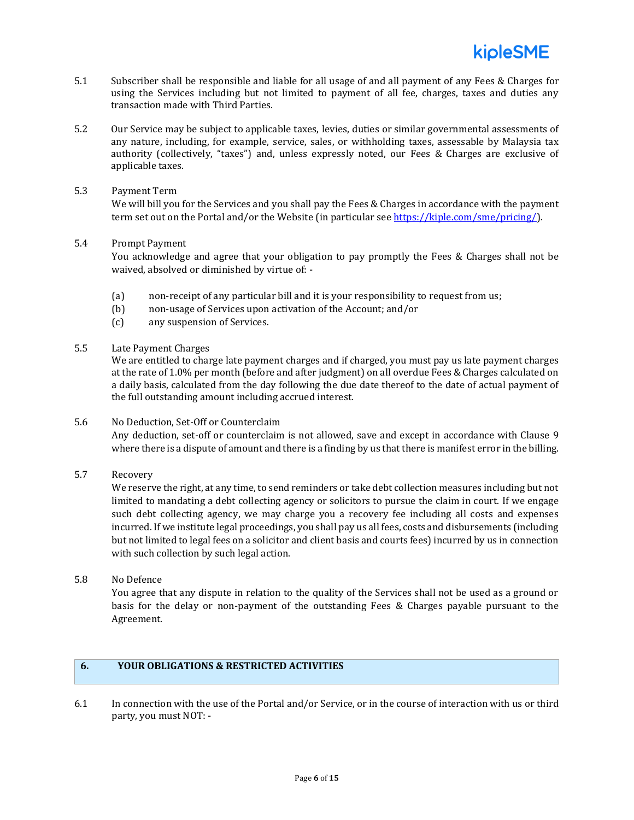- 5.1 Subscriber shall be responsible and liable for all usage of and all payment of any Fees & Charges for using the Services including but not limited to payment of all fee, charges, taxes and duties any transaction made with Third Parties.
- 5.2 Our Service may be subject to applicable taxes, levies, duties or similar governmental assessments of any nature, including, for example, service, sales, or withholding taxes, assessable by Malaysia tax authority (collectively, "taxes") and, unless expressly noted, our Fees & Charges are exclusive of applicable taxes.
- 5.3 Payment Term

We will bill you for the Services and you shall pay the Fees & Charges in accordance with the payment term set out on the Portal and/or the Website (in particular se[e https://kiple.com/sme/pricing/\)](https://kiple.com/sme/pricing/).

5.4 Prompt Payment

You acknowledge and agree that your obligation to pay promptly the Fees & Charges shall not be waived, absolved or diminished by virtue of: -

- (a) non-receipt of any particular bill and it is your responsibility to request from us;
- (b) non-usage of Services upon activation of the Account; and/or
- (c) any suspension of Services.
- 5.5 Late Payment Charges

We are entitled to charge late payment charges and if charged, you must pay us late payment charges at the rate of 1.0% per month (before and after judgment) on all overdue Fees & Charges calculated on a daily basis, calculated from the day following the due date thereof to the date of actual payment of the full outstanding amount including accrued interest.

#### 5.6 No Deduction, Set-Off or Counterclaim

Any deduction, set-off or counterclaim is not allowed, save and except in accordance with Clause 9 where there is a dispute of amount and there is a finding by us that there is manifest error in the billing.

5.7 Recovery

We reserve the right, at any time, to send reminders or take debt collection measures including but not limited to mandating a debt collecting agency or solicitors to pursue the claim in court. If we engage such debt collecting agency, we may charge you a recovery fee including all costs and expenses incurred. If we institute legal proceedings, you shall pay us all fees, costs and disbursements (including but not limited to legal fees on a solicitor and client basis and courts fees) incurred by us in connection with such collection by such legal action.

5.8 No Defence

You agree that any dispute in relation to the quality of the Services shall not be used as a ground or basis for the delay or non-payment of the outstanding Fees & Charges payable pursuant to the Agreement.

## **6. YOUR OBLIGATIONS & RESTRICTED ACTIVITIES**

6.1 In connection with the use of the Portal and/or Service, or in the course of interaction with us or third party, you must NOT: -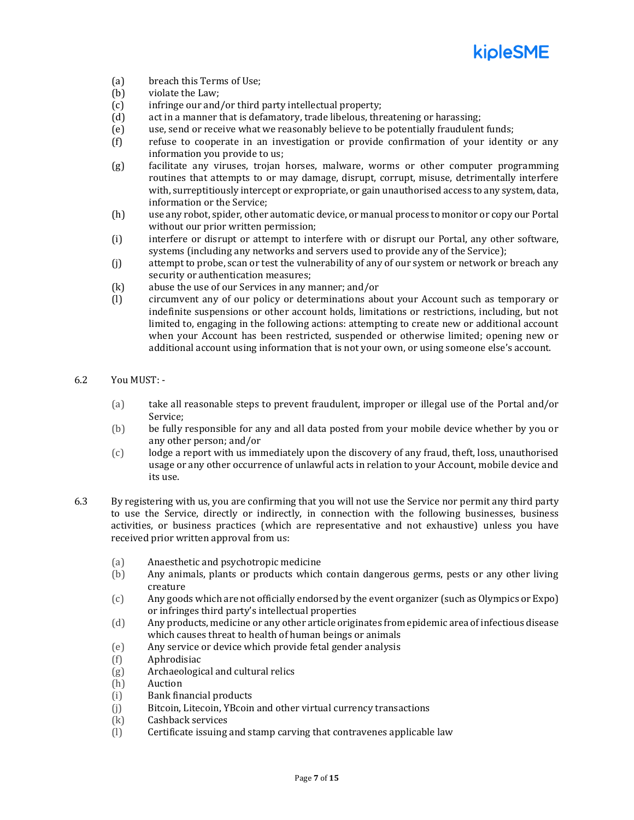

- (a) breach this Terms of Use;
- (b) violate the Law;
- (c) infringe our and/or third party intellectual property;
- (d) act in a manner that is defamatory, trade libelous, threatening or harassing;
- (e) use, send or receive what we reasonably believe to be potentially fraudulent funds;
- (f) refuse to cooperate in an investigation or provide confirmation of your identity or any information you provide to us;
- (g) facilitate any viruses, trojan horses, malware, worms or other computer programming routines that attempts to or may damage, disrupt, corrupt, misuse, detrimentally interfere with, surreptitiously intercept or expropriate, or gain unauthorised access to any system, data, information or the Service;
- (h) use any robot, spider, other automatic device, or manual process to monitor or copy our Portal without our prior written permission;
- (i) interfere or disrupt or attempt to interfere with or disrupt our Portal, any other software, systems (including any networks and servers used to provide any of the Service);
- (j) attempt to probe, scan or test the vulnerability of any of our system or network or breach any security or authentication measures;
- (k) abuse the use of our Services in any manner; and/or
- (l) circumvent any of our policy or determinations about your Account such as temporary or indefinite suspensions or other account holds, limitations or restrictions, including, but not limited to, engaging in the following actions: attempting to create new or additional account when your Account has been restricted, suspended or otherwise limited; opening new or additional account using information that is not your own, or using someone else's account.
- 6.2 You MUST:
	- (a) take all reasonable steps to prevent fraudulent, improper or illegal use of the Portal and/or Service;
	- (b) be fully responsible for any and all data posted from your mobile device whether by you or any other person; and/or
	- (c) lodge a report with us immediately upon the discovery of any fraud, theft, loss, unauthorised usage or any other occurrence of unlawful acts in relation to your Account, mobile device and its use.
- 6.3 By registering with us, you are confirming that you will not use the Service nor permit any third party to use the Service, directly or indirectly, in connection with the following businesses, business activities, or business practices (which are representative and not exhaustive) unless you have received prior written approval from us:
	- (a) Anaesthetic and psychotropic medicine
	- (b) Any animals, plants or products which contain dangerous germs, pests or any other living creature
	- (c) Any goods which are not officially endorsed by the event organizer (such as Olympics or Expo) or infringes third party's intellectual properties
	- (d) Any products, medicine or any other article originates from epidemic area of infectious disease which causes threat to health of human beings or animals
	- (e) Any service or device which provide fetal gender analysis
	- (f) Aphrodisiac
	- (g) Archaeological and cultural relics
	- (h) Auction
	- (i) Bank financial products
	- (j) Bitcoin, Litecoin, YBcoin and other virtual currency transactions
	- (k) Cashback services
	- (l) Certificate issuing and stamp carving that contravenes applicable law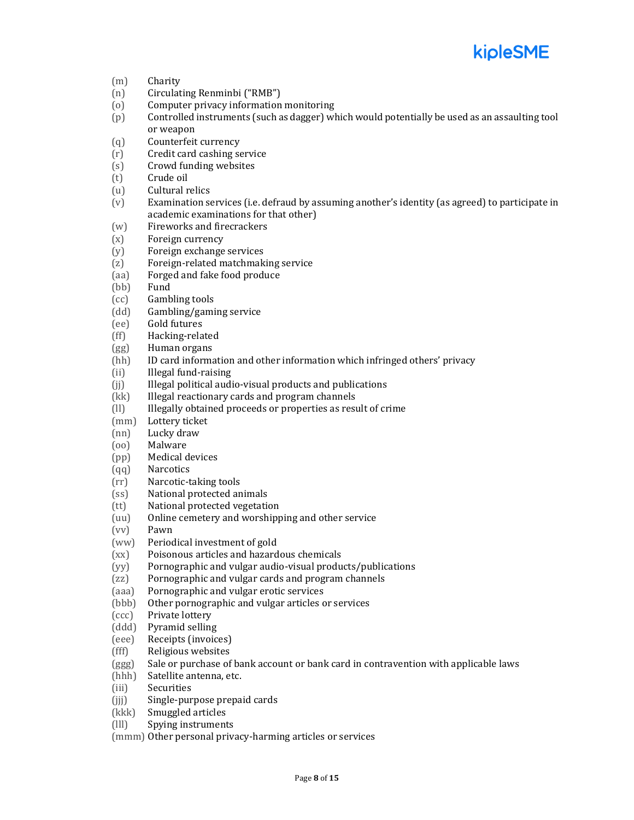

- (m) Charity
- (n) Circulating Renminbi ("RMB")
- (o) Computer privacy information monitoring
- (p) Controlled instruments (such as dagger) which would potentially be used as an assaulting tool or weapon
- (q) Counterfeit currency
- (r) Credit card cashing service
- (s) Crowd funding websites
- (t) Crude oil
- (u) Cultural relics
- (v) Examination services (i.e. defraud by assuming another's identity (as agreed) to participate in academic examinations for that other)
- (w) Fireworks and firecrackers
- (x) Foreign currency
- (y) Foreign exchange services
- (z) Foreign-related matchmaking service
- (aa) Forged and fake food produce
- (bb) Fund
- (cc) Gambling tools
- (dd) Gambling/gaming service
- (ee) Gold futures
- (ff) Hacking-related
- (gg) Human organs
- (hh) ID card information and other information which infringed others' privacy
- (ii) Illegal fund-raising
- (ii) Illegal political audio-visual products and publications
- (kk) Illegal reactionary cards and program channels
- (ll) Illegally obtained proceeds or properties as result of crime
- (mm) Lottery ticket
- (nn) Lucky draw
- (oo) Malware
- (pp) Medical devices
- (qq) Narcotics
- (rr) Narcotic-taking tools
- (ss) National protected animals
- (tt) National protected vegetation
- (uu) Online cemetery and worshipping and other service
- (vv) Pawn
- (ww) Periodical investment of gold
- (xx) Poisonous articles and hazardous chemicals
- (yy) Pornographic and vulgar audio-visual products/publications
- (zz) Pornographic and vulgar cards and program channels
- (aaa) Pornographic and vulgar erotic services
- (bbb) Other pornographic and vulgar articles or services
- (ccc) Private lottery
- (ddd) Pyramid selling
- (eee) Receipts (invoices)
- (fff) Religious websites
- (ggg) Sale or purchase of bank account or bank card in contravention with applicable laws
- (hhh) Satellite antenna, etc.
- (iii) Securities
- (jjj) Single-purpose prepaid cards
- (kkk) Smuggled articles
- (lll) Spying instruments

(mmm) Other personal privacy-harming articles or services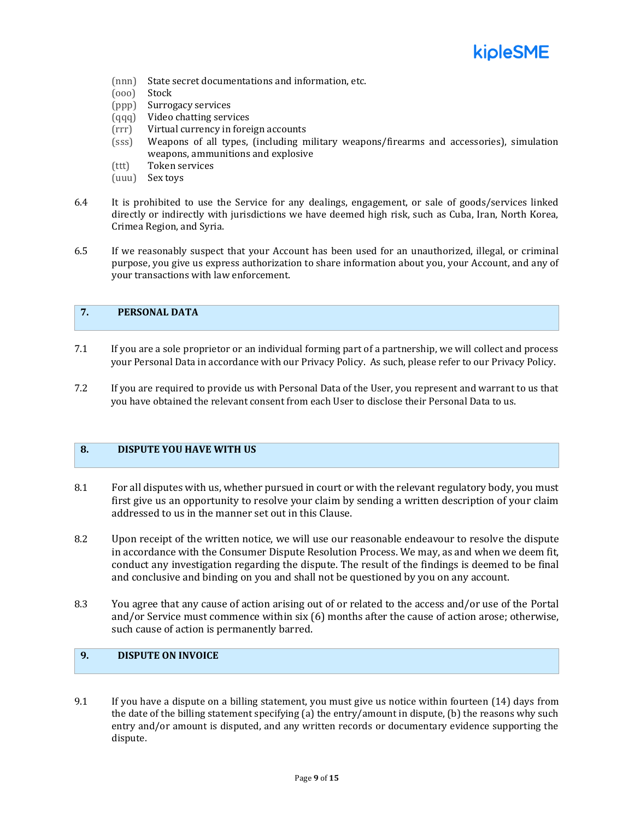

- (nnn) State secret documentations and information, etc.
- (ooo) Stock
- (ppp) Surrogacy services
- (qqq) Video chatting services
- (rrr) Virtual currency in foreign accounts
- (sss) Weapons of all types, (including military weapons/firearms and accessories), simulation weapons, ammunitions and explosive
- (ttt) Token services
- (uuu) Sex toys
- 6.4 It is prohibited to use the Service for any dealings, engagement, or sale of goods/services linked directly or indirectly with jurisdictions we have deemed high risk, such as Cuba, Iran, North Korea, Crimea Region, and Syria.
- 6.5 If we reasonably suspect that your Account has been used for an unauthorized, illegal, or criminal purpose, you give us express authorization to share information about you, your Account, and any of your transactions with law enforcement.

## **7. PERSONAL DATA**

- 7.1 If you are a sole proprietor or an individual forming part of a partnership, we will collect and process your Personal Data in accordance with our Privacy Policy. As such, please refer to our Privacy Policy.
- 7.2 If you are required to provide us with Personal Data of the User, you represent and warrant to us that you have obtained the relevant consent from each User to disclose their Personal Data to us.

## **8. DISPUTE YOU HAVE WITH US**

- 8.1 For all disputes with us, whether pursued in court or with the relevant regulatory body, you must first give us an opportunity to resolve your claim by sending a written description of your claim addressed to us in the manner set out in this Clause.
- 8.2 Upon receipt of the written notice, we will use our reasonable endeavour to resolve the dispute in accordance with the Consumer Dispute Resolution Process. We may, as and when we deem fit, conduct any investigation regarding the dispute. The result of the findings is deemed to be final and conclusive and binding on you and shall not be questioned by you on any account.
- 8.3 You agree that any cause of action arising out of or related to the access and/or use of the Portal and/or Service must commence within six (6) months after the cause of action arose; otherwise, such cause of action is permanently barred.

## **9. DISPUTE ON INVOICE**

9.1 If you have a dispute on a billing statement, you must give us notice within fourteen (14) days from the date of the billing statement specifying (a) the entry/amount in dispute, (b) the reasons why such entry and/or amount is disputed, and any written records or documentary evidence supporting the dispute.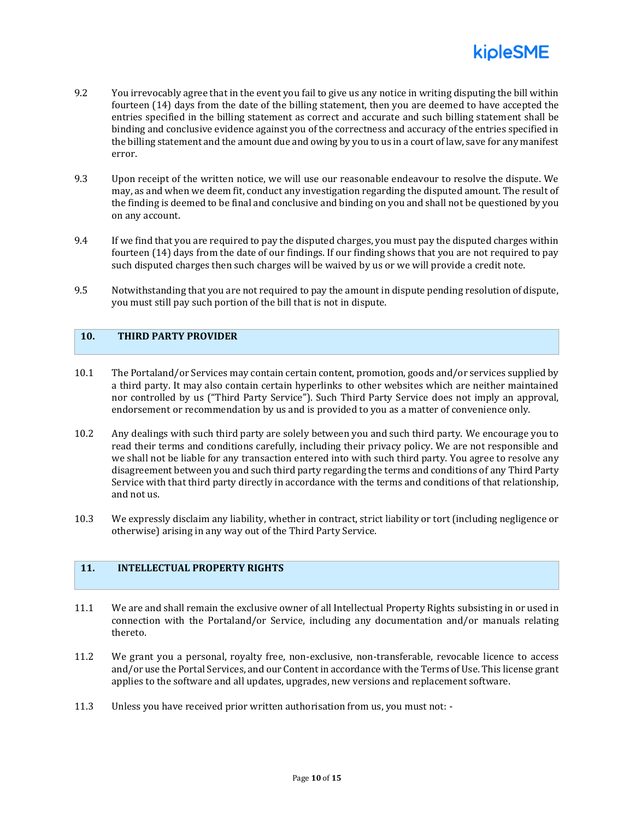

- 9.2 You irrevocably agree that in the event you fail to give us any notice in writing disputing the bill within fourteen (14) days from the date of the billing statement, then you are deemed to have accepted the entries specified in the billing statement as correct and accurate and such billing statement shall be binding and conclusive evidence against you of the correctness and accuracy of the entries specified in the billing statement and the amount due and owing by you to us in a court of law, save for any manifest error.
- 9.3 Upon receipt of the written notice, we will use our reasonable endeavour to resolve the dispute. We may, as and when we deem fit, conduct any investigation regarding the disputed amount. The result of the finding is deemed to be final and conclusive and binding on you and shall not be questioned by you on any account.
- 9.4 If we find that you are required to pay the disputed charges, you must pay the disputed charges within fourteen (14) days from the date of our findings. If our finding shows that you are not required to pay such disputed charges then such charges will be waived by us or we will provide a credit note.
- 9.5 Notwithstanding that you are not required to pay the amount in dispute pending resolution of dispute, you must still pay such portion of the bill that is not in dispute.

## **10. THIRD PARTY PROVIDER**

- 10.1 The Portaland/or Services may contain certain content, promotion, goods and/or services supplied by a third party. It may also contain certain hyperlinks to other websites which are neither maintained nor controlled by us ("Third Party Service"). Such Third Party Service does not imply an approval, endorsement or recommendation by us and is provided to you as a matter of convenience only.
- 10.2 Any dealings with such third party are solely between you and such third party. We encourage you to read their terms and conditions carefully, including their privacy policy. We are not responsible and we shall not be liable for any transaction entered into with such third party. You agree to resolve any disagreement between you and such third party regarding the terms and conditions of any Third Party Service with that third party directly in accordance with the terms and conditions of that relationship, and not us.
- 10.3 We expressly disclaim any liability, whether in contract, strict liability or tort (including negligence or otherwise) arising in any way out of the Third Party Service.

## **11. INTELLECTUAL PROPERTY RIGHTS**

- 11.1 We are and shall remain the exclusive owner of all Intellectual Property Rights subsisting in or used in connection with the Portaland/or Service, including any documentation and/or manuals relating thereto.
- 11.2 We grant you a personal, royalty free, non-exclusive, non-transferable, revocable licence to access and/or use the Portal Services, and our Content in accordance with the Terms of Use. This license grant applies to the software and all updates, upgrades, new versions and replacement software.
- 11.3 Unless you have received prior written authorisation from us, you must not: -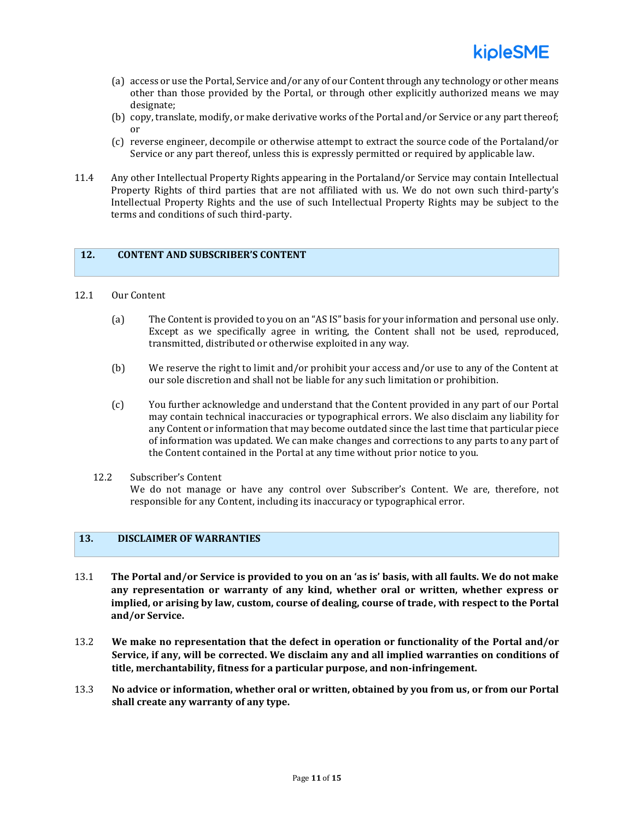- (a) access or use the Portal, Service and/or any of our Content through any technology or other means other than those provided by the Portal, or through other explicitly authorized means we may designate;
- (b) copy, translate, modify, or make derivative works of the Portal and/or Service or any part thereof; or
- (c) reverse engineer, decompile or otherwise attempt to extract the source code of the Portaland/or Service or any part thereof, unless this is expressly permitted or required by applicable law.
- 11.4 Any other Intellectual Property Rights appearing in the Portaland/or Service may contain Intellectual Property Rights of third parties that are not affiliated with us. We do not own such third-party's Intellectual Property Rights and the use of such Intellectual Property Rights may be subject to the terms and conditions of such third-party.

#### **12. CONTENT AND SUBSCRIBER'S CONTENT**

#### 12.1 Our Content

- (a) The Content is provided to you on an "AS IS" basis for your information and personal use only. Except as we specifically agree in writing, the Content shall not be used, reproduced, transmitted, distributed or otherwise exploited in any way.
- (b) We reserve the right to limit and/or prohibit your access and/or use to any of the Content at our sole discretion and shall not be liable for any such limitation or prohibition.
- (c) You further acknowledge and understand that the Content provided in any part of our Portal may contain technical inaccuracies or typographical errors. We also disclaim any liability for any Content or information that may become outdated since the last time that particular piece of information was updated. We can make changes and corrections to any parts to any part of the Content contained in the Portal at any time without prior notice to you.
- 12.2 Subscriber's Content We do not manage or have any control over Subscriber's Content. We are, therefore, not responsible for any Content, including its inaccuracy or typographical error.

## **13. DISCLAIMER OF WARRANTIES**

- 13.1 **The Portal and/or Service is provided to you on an 'as is' basis, with all faults. We do not make any representation or warranty of any kind, whether oral or written, whether express or implied, or arising by law, custom, course of dealing, course of trade, with respect to the Portal and/or Service.**
- 13.2 **We make no representation that the defect in operation or functionality of the Portal and/or Service, if any, will be corrected. We disclaim any and all implied warranties on conditions of title, merchantability, fitness for a particular purpose, and non-infringement.**
- 13.3 **No advice or information, whether oral or written, obtained by you from us, or from our Portal shall create any warranty of any type.**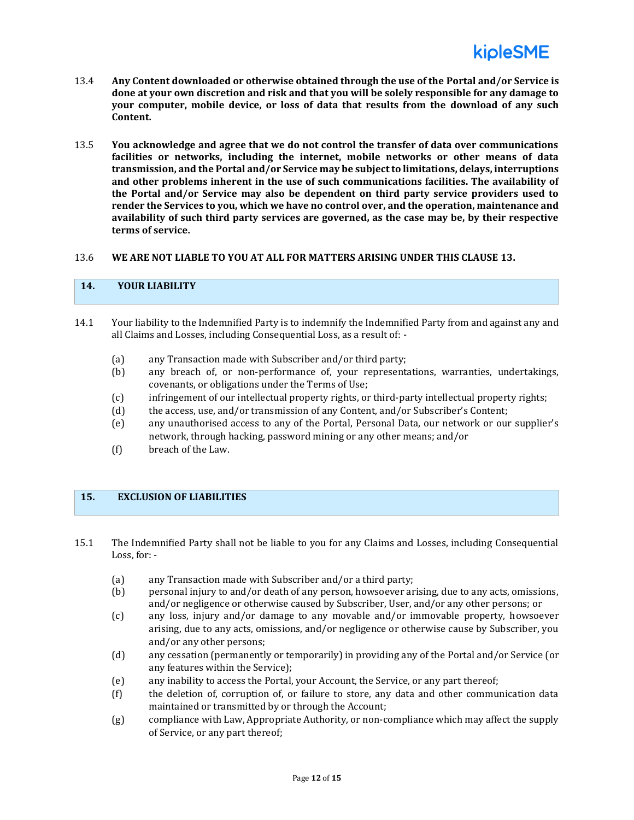

- 13.4 **Any Content downloaded or otherwise obtained through the use of the Portal and/or Service is done at your own discretion and risk and that you will be solely responsible for any damage to your computer, mobile device, or loss of data that results from the download of any such Content.**
- 13.5 **You acknowledge and agree that we do not control the transfer of data over communications facilities or networks, including the internet, mobile networks or other means of data transmission, and the Portal and/or Service may be subject to limitations, delays, interruptions and other problems inherent in the use of such communications facilities. The availability of the Portal and/or Service may also be dependent on third party service providers used to render the Services to you, which we have no control over, and the operation, maintenance and availability of such third party services are governed, as the case may be, by their respective terms of service.**

#### 13.6 **WE ARE NOT LIABLE TO YOU AT ALL FOR MATTERS ARISING UNDER THIS CLAUSE 13.**

## **14. YOUR LIABILITY**

- 14.1 Your liability to the Indemnified Party is to indemnify the Indemnified Party from and against any and all Claims and Losses, including Consequential Loss, as a result of: -
	- (a) any Transaction made with Subscriber and/or third party;
	- (b) any breach of, or non-performance of, your representations, warranties, undertakings, covenants, or obligations under the Terms of Use;
	- (c) infringement of our intellectual property rights, or third-party intellectual property rights;
	- (d) the access, use, and/or transmission of any Content, and/or Subscriber's Content;
	- (e) any unauthorised access to any of the Portal, Personal Data, our network or our supplier's network, through hacking, password mining or any other means; and/or
	- (f) breach of the Law.

#### **15. EXCLUSION OF LIABILITIES**

15.1 The Indemnified Party shall not be liable to you for any Claims and Losses, including Consequential Loss, for: -

- (a) any Transaction made with Subscriber and/or a third party;
- (b) personal injury to and/or death of any person, howsoever arising, due to any acts, omissions, and/or negligence or otherwise caused by Subscriber, User, and/or any other persons; or
- (c) any loss, injury and/or damage to any movable and/or immovable property, howsoever arising, due to any acts, omissions, and/or negligence or otherwise cause by Subscriber, you and/or any other persons;
- (d) any cessation (permanently or temporarily) in providing any of the Portal and/or Service (or any features within the Service);
- (e) any inability to access the Portal, your Account, the Service, or any part thereof;
- (f) the deletion of, corruption of, or failure to store, any data and other communication data maintained or transmitted by or through the Account;
- (g) compliance with Law, Appropriate Authority, or non-compliance which may affect the supply of Service, or any part thereof;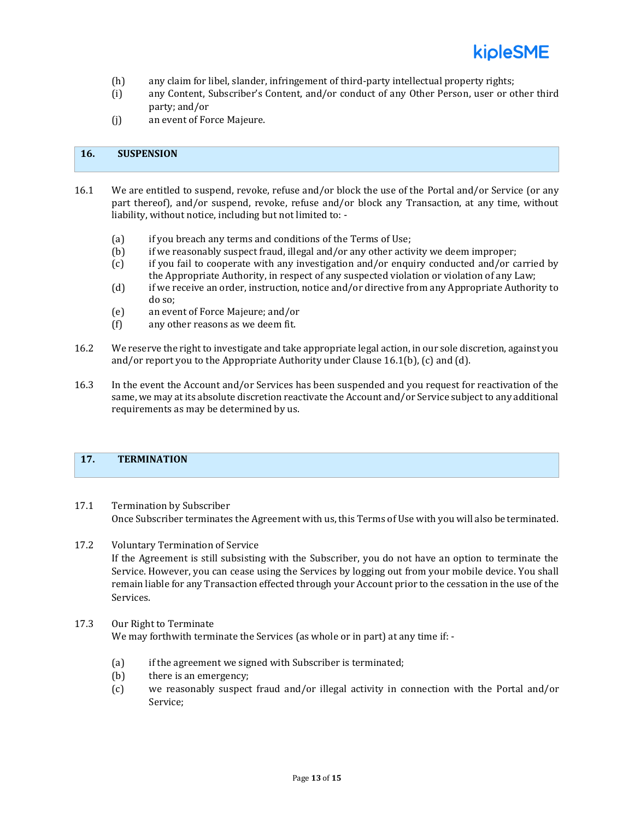- (h) any claim for libel, slander, infringement of third-party intellectual property rights;
- (i) any Content, Subscriber's Content, and/or conduct of any Other Person, user or other third party; and/or
- (j) an event of Force Majeure.

## **16. SUSPENSION**

- 16.1 We are entitled to suspend, revoke, refuse and/or block the use of the Portal and/or Service (or any part thereof), and/or suspend, revoke, refuse and/or block any Transaction, at any time, without liability, without notice, including but not limited to: -
	- (a) if you breach any terms and conditions of the Terms of Use;
	- (b) if we reasonably suspect fraud, illegal and/or any other activity we deem improper;
	- (c) if you fail to cooperate with any investigation and/or enquiry conducted and/or carried by the Appropriate Authority, in respect of any suspected violation or violation of any Law;
	- (d) if we receive an order, instruction, notice and/or directive from any Appropriate Authority to do so;
	- (e) an event of Force Majeure; and/or
	- (f) any other reasons as we deem fit.
- 16.2 We reserve the right to investigate and take appropriate legal action, in our sole discretion, against you and/or report you to the Appropriate Authority under Clause 16.1(b), (c) and (d).
- 16.3 In the event the Account and/or Services has been suspended and you request for reactivation of the same, we may at its absolute discretion reactivate the Account and/or Service subject to any additional requirements as may be determined by us.

#### **17. TERMINATION**

- 17.1 Termination by Subscriber Once Subscriber terminates the Agreement with us, this Terms of Use with you will also be terminated.
- 17.2 Voluntary Termination of Service

If the Agreement is still subsisting with the Subscriber, you do not have an option to terminate the Service. However, you can cease using the Services by logging out from your mobile device. You shall remain liable for any Transaction effected through your Account prior to the cessation in the use of the Services.

#### 17.3 Our Right to Terminate

We may forthwith terminate the Services (as whole or in part) at any time if: -

- (a) if the agreement we signed with Subscriber is terminated;
- (b) there is an emergency;
- (c) we reasonably suspect fraud and/or illegal activity in connection with the Portal and/or Service;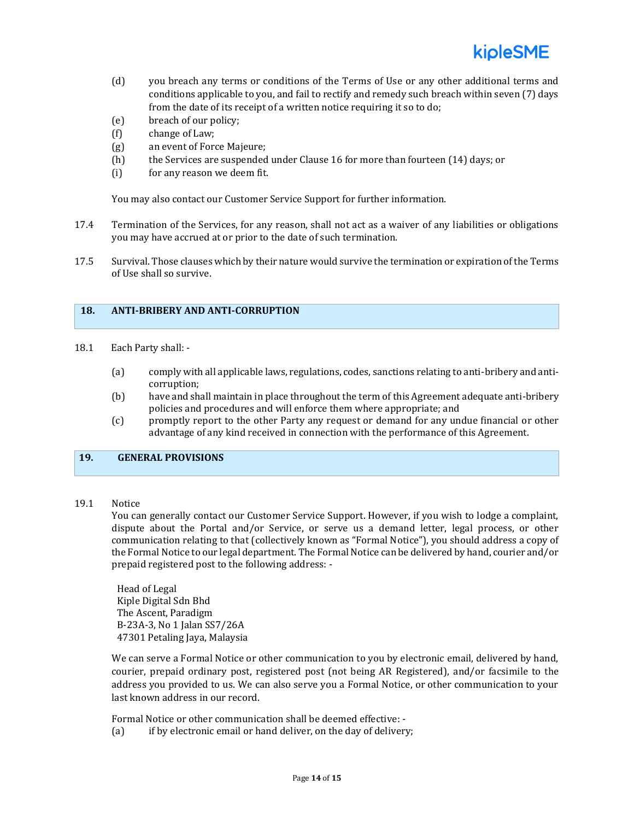

- (d) you breach any terms or conditions of the Terms of Use or any other additional terms and conditions applicable to you, and fail to rectify and remedy such breach within seven (7) days from the date of its receipt of a written notice requiring it so to do;
- (e) breach of our policy;
- (f) change of Law;
- (g) an event of Force Majeure;
- (h) the Services are suspended under Clause 16 for more than fourteen (14) days; or
- (i) for any reason we deem fit.

You may also contact our Customer Service Support for further information.

- 17.4 Termination of the Services, for any reason, shall not act as a waiver of any liabilities or obligations you may have accrued at or prior to the date of such termination.
- 17.5 Survival. Those clauses which by their nature would survive the termination or expiration of the Terms of Use shall so survive.

#### **18. ANTI-BRIBERY AND ANTI-CORRUPTION**

- 18.1 Each Party shall:
	- (a) comply with all applicable laws, regulations, codes, sanctions relating to anti-bribery and anticorruption;
	- (b) have and shall maintain in place throughout the term of this Agreement adequate anti-bribery policies and procedures and will enforce them where appropriate; and
	- (c) promptly report to the other Party any request or demand for any undue financial or other advantage of any kind received in connection with the performance of this Agreement.

#### **19. GENERAL PROVISIONS**

19.1 Notice

You can generally contact our Customer Service Support. However, if you wish to lodge a complaint, dispute about the Portal and/or Service, or serve us a demand letter, legal process, or other communication relating to that (collectively known as "Formal Notice"), you should address a copy of the Formal Notice to our legal department. The Formal Notice can be delivered by hand, courier and/or prepaid registered post to the following address: -

Head of Legal Kiple Digital Sdn Bhd The Ascent, Paradigm B-23A-3, No 1 Jalan SS7/26A 47301 Petaling Jaya, Malaysia

We can serve a Formal Notice or other communication to you by electronic email, delivered by hand, courier, prepaid ordinary post, registered post (not being AR Registered), and/or facsimile to the address you provided to us. We can also serve you a Formal Notice, or other communication to your last known address in our record.

Formal Notice or other communication shall be deemed effective: -

(a) if by electronic email or hand deliver, on the day of delivery;